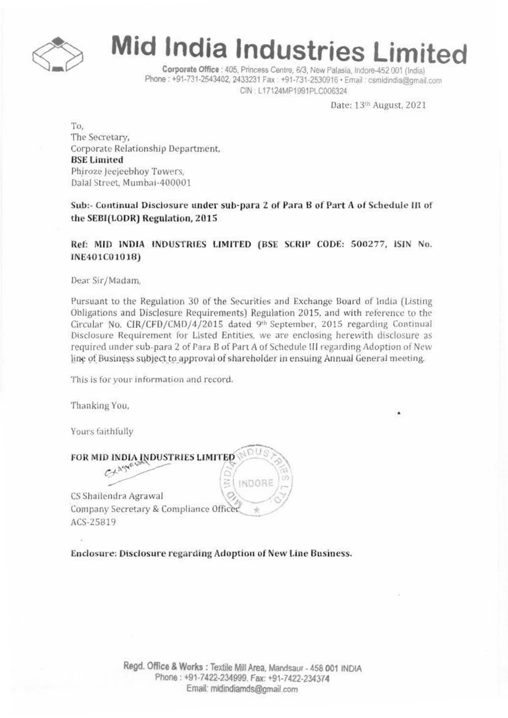

# Mid India Industries Limited

Corporate Office : 405, Princess Centre, 6/3, New Palasia, Indore-452 001 (India) Phone: +91-731-2543402, 2433231 Fax: +91-731-2530916 · Email: csmidindia@gmail.com CIN: L17124MP1991PLC006324

Date: 13th August, 2021

To, The Secretary, Corporate Relationship Department, **BSE Limited** Phiroze Jeejeebhov Towers. Dalal Street, Mumbai-400001

Sub:- Continual Disclosure under sub-para 2 of Para B of Part A of Schedule III of the SEBI(LODR) Regulation, 2015

Ref: MID INDIA INDUSTRIES LIMITED (BSE SCRIP CODE: 500277, ISIN No. INE401C01018)

Dear Sir/Madam,

Pursuant to the Regulation 30 of the Securities and Exchange Board of India (Listing Obligations and Disclosure Requirements) Regulation 2015, and with reference to the Circular No. CIR/CFD/CMD/4/2015 dated 9th September, 2015 regarding Continual Disclosure Requirement for Listed Entities, we are enclosing herewith disclosure as required under sub-para 2 of Para B of Part A of Schedule III regarding Adoption of New line of Business subject to approval of shareholder in ensuing Annual General meeting.

**INDORE** 

This is for your information and record.

Thanking You,

Yours faithfully

FOR MID INDIA INDUSTRIES LIMITED

C+Agya

CS Shailendra Agrawal Company Secretary & Compliance Officer ACS-25819

Enclosure: Disclosure regarding Adoption of New Line Business.